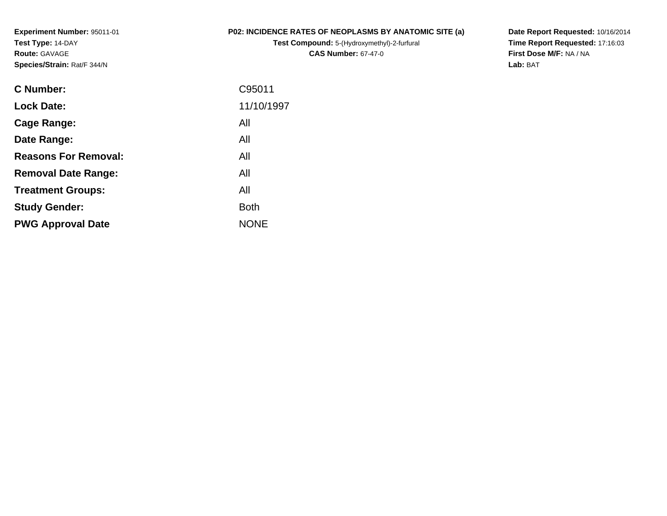**Experiment Number:** 95011-01**Test Type:** 14-DAY**Route:** GAVAGE**Species/Strain:** Rat/F 344/N

## **P02: INCIDENCE RATES OF NEOPLASMS BY ANATOMIC SITE (a)**

**Test Compound:** 5-(Hydroxymethyl)-2-furfural **CAS Number:** 67-47-0

**Date Report Requested:** 10/16/2014 **Time Report Requested:** 17:16:03**First Dose M/F:** NA / NA**Lab:** BAT

| C95011      |
|-------------|
| 11/10/1997  |
| All         |
| All         |
| All         |
| All         |
| All         |
| <b>Both</b> |
| <b>NONE</b> |
|             |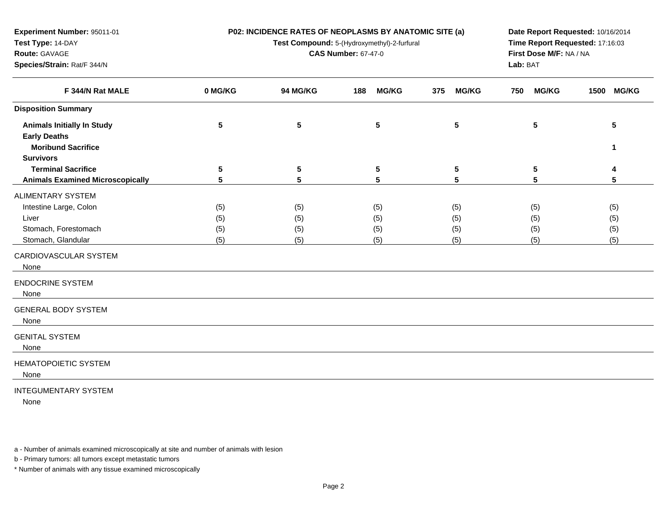| Experiment Number: 95011-01                              |            | P02: INCIDENCE RATES OF NEOPLASMS BY ANATOMIC SITE (a) | Date Report Requested: 10/16/2014           |                     |                                                            |                 |  |  |
|----------------------------------------------------------|------------|--------------------------------------------------------|---------------------------------------------|---------------------|------------------------------------------------------------|-----------------|--|--|
| Test Type: 14-DAY                                        |            |                                                        | Test Compound: 5-(Hydroxymethyl)-2-furfural |                     | Time Report Requested: 17:16:03<br>First Dose M/F: NA / NA |                 |  |  |
| Route: GAVAGE                                            |            |                                                        | <b>CAS Number: 67-47-0</b>                  |                     |                                                            |                 |  |  |
| Species/Strain: Rat/F 344/N<br>F 344/N Rat MALE          |            |                                                        |                                             |                     | Lab: BAT                                                   |                 |  |  |
|                                                          | 0 MG/KG    | <b>94 MG/KG</b>                                        | <b>MG/KG</b><br>188                         | 375<br><b>MG/KG</b> | <b>MG/KG</b><br>750                                        | 1500 MG/KG      |  |  |
| <b>Disposition Summary</b>                               |            |                                                        |                                             |                     |                                                            |                 |  |  |
| <b>Animals Initially In Study</b><br><b>Early Deaths</b> | $\sqrt{5}$ | $5\phantom{.0}$                                        | ${\bf 5}$                                   | $5\phantom{.0}$     | 5                                                          | $5\phantom{.0}$ |  |  |
| <b>Moribund Sacrifice</b>                                |            |                                                        |                                             |                     |                                                            | 1               |  |  |
| <b>Survivors</b>                                         |            |                                                        |                                             |                     |                                                            |                 |  |  |
| <b>Terminal Sacrifice</b>                                | 5          | ${\bf 5}$                                              | 5                                           | $5\phantom{.0}$     | 5                                                          | 4               |  |  |
| <b>Animals Examined Microscopically</b>                  | 5          | 5                                                      | 5                                           | 5                   | 5                                                          | 5               |  |  |
| <b>ALIMENTARY SYSTEM</b>                                 |            |                                                        |                                             |                     |                                                            |                 |  |  |
| Intestine Large, Colon                                   | (5)        | (5)                                                    | (5)                                         | (5)                 | (5)                                                        | (5)             |  |  |
| Liver                                                    | (5)        | (5)                                                    | (5)                                         | (5)                 | (5)                                                        | (5)             |  |  |
| Stomach, Forestomach                                     | (5)        | (5)                                                    | (5)                                         | (5)                 | (5)                                                        | (5)             |  |  |
| Stomach, Glandular                                       | (5)        | (5)                                                    | (5)                                         | (5)                 | (5)                                                        | (5)             |  |  |
| CARDIOVASCULAR SYSTEM<br>None                            |            |                                                        |                                             |                     |                                                            |                 |  |  |
| <b>ENDOCRINE SYSTEM</b><br>None                          |            |                                                        |                                             |                     |                                                            |                 |  |  |
| <b>GENERAL BODY SYSTEM</b><br>None                       |            |                                                        |                                             |                     |                                                            |                 |  |  |
| <b>GENITAL SYSTEM</b><br>None                            |            |                                                        |                                             |                     |                                                            |                 |  |  |
| HEMATOPOIETIC SYSTEM<br>None                             |            |                                                        |                                             |                     |                                                            |                 |  |  |
| <b>INTEGUMENTARY SYSTEM</b>                              |            |                                                        |                                             |                     |                                                            |                 |  |  |

None

b - Primary tumors: all tumors except metastatic tumors

a - Number of animals examined microscopically at site and number of animals with lesion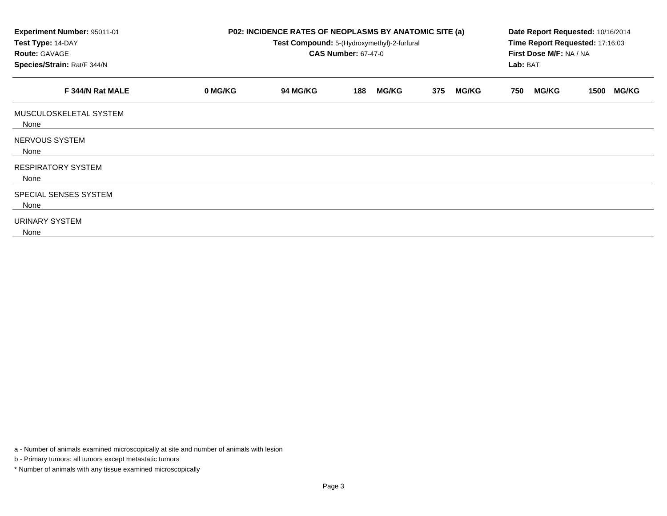| Experiment Number: 95011-01<br>P02: INCIDENCE RATES OF NEOPLASMS BY ANATOMIC SITE (a)<br>Test Type: 14-DAY<br>Test Compound: 5-(Hydroxymethyl)-2-furfural<br><b>CAS Number: 67-47-0</b><br><b>Route: GAVAGE</b><br>Species/Strain: Rat/F 344/N |         |                 |                     |                     | Date Report Requested: 10/16/2014<br>Time Report Requested: 17:16:03<br>First Dose M/F: NA / NA<br>Lab: BAT |                      |
|------------------------------------------------------------------------------------------------------------------------------------------------------------------------------------------------------------------------------------------------|---------|-----------------|---------------------|---------------------|-------------------------------------------------------------------------------------------------------------|----------------------|
| F 344/N Rat MALE                                                                                                                                                                                                                               | 0 MG/KG | <b>94 MG/KG</b> | <b>MG/KG</b><br>188 | 375<br><b>MG/KG</b> | <b>MG/KG</b><br>750                                                                                         | <b>MG/KG</b><br>1500 |
| MUSCULOSKELETAL SYSTEM<br>None                                                                                                                                                                                                                 |         |                 |                     |                     |                                                                                                             |                      |
| NERVOUS SYSTEM<br>None                                                                                                                                                                                                                         |         |                 |                     |                     |                                                                                                             |                      |
| <b>RESPIRATORY SYSTEM</b><br>None                                                                                                                                                                                                              |         |                 |                     |                     |                                                                                                             |                      |
| SPECIAL SENSES SYSTEM<br>None                                                                                                                                                                                                                  |         |                 |                     |                     |                                                                                                             |                      |
| URINARY SYSTEM<br>None                                                                                                                                                                                                                         |         |                 |                     |                     |                                                                                                             |                      |

a - Number of animals examined microscopically at site and number of animals with lesion

b - Primary tumors: all tumors except metastatic tumors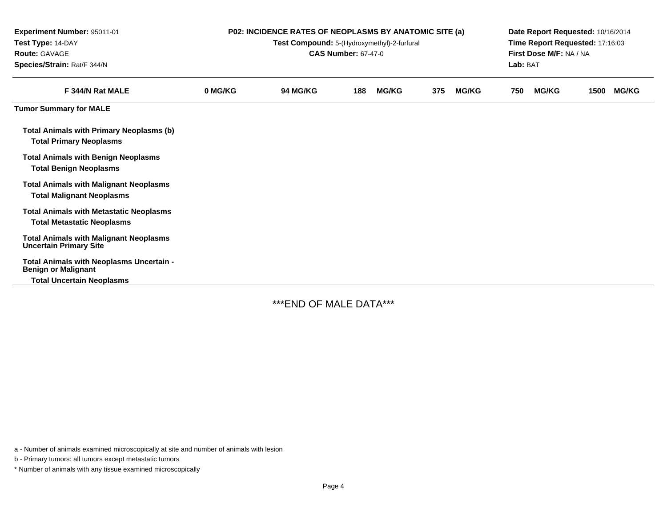| Experiment Number: 95011-01<br>Test Type: 14-DAY<br><b>Route: GAVAGE</b><br>Species/Strain: Rat/F 344/N    | <b>P02: INCIDENCE RATES OF NEOPLASMS BY ANATOMIC SITE (a)</b><br>Test Compound: 5-(Hydroxymethyl)-2-furfural<br><b>CAS Number: 67-47-0</b> |          |     |              |     |              |     | Date Report Requested: 10/16/2014<br>Time Report Requested: 17:16:03<br>First Dose M/F: NA / NA<br>Lab: BAT |      |              |  |
|------------------------------------------------------------------------------------------------------------|--------------------------------------------------------------------------------------------------------------------------------------------|----------|-----|--------------|-----|--------------|-----|-------------------------------------------------------------------------------------------------------------|------|--------------|--|
| F 344/N Rat MALE                                                                                           | 0 MG/KG                                                                                                                                    | 94 MG/KG | 188 | <b>MG/KG</b> | 375 | <b>MG/KG</b> | 750 | <b>MG/KG</b>                                                                                                | 1500 | <b>MG/KG</b> |  |
| <b>Tumor Summary for MALE</b>                                                                              |                                                                                                                                            |          |     |              |     |              |     |                                                                                                             |      |              |  |
| <b>Total Animals with Primary Neoplasms (b)</b><br><b>Total Primary Neoplasms</b>                          |                                                                                                                                            |          |     |              |     |              |     |                                                                                                             |      |              |  |
| <b>Total Animals with Benign Neoplasms</b><br><b>Total Benign Neoplasms</b>                                |                                                                                                                                            |          |     |              |     |              |     |                                                                                                             |      |              |  |
| <b>Total Animals with Malignant Neoplasms</b><br><b>Total Malignant Neoplasms</b>                          |                                                                                                                                            |          |     |              |     |              |     |                                                                                                             |      |              |  |
| <b>Total Animals with Metastatic Neoplasms</b><br><b>Total Metastatic Neoplasms</b>                        |                                                                                                                                            |          |     |              |     |              |     |                                                                                                             |      |              |  |
| <b>Total Animals with Malignant Neoplasms</b><br><b>Uncertain Primary Site</b>                             |                                                                                                                                            |          |     |              |     |              |     |                                                                                                             |      |              |  |
| Total Animals with Neoplasms Uncertain -<br><b>Benign or Malignant</b><br><b>Total Uncertain Neoplasms</b> |                                                                                                                                            |          |     |              |     |              |     |                                                                                                             |      |              |  |

\*\*\*END OF MALE DATA\*\*\*

a - Number of animals examined microscopically at site and number of animals with lesion

b - Primary tumors: all tumors except metastatic tumors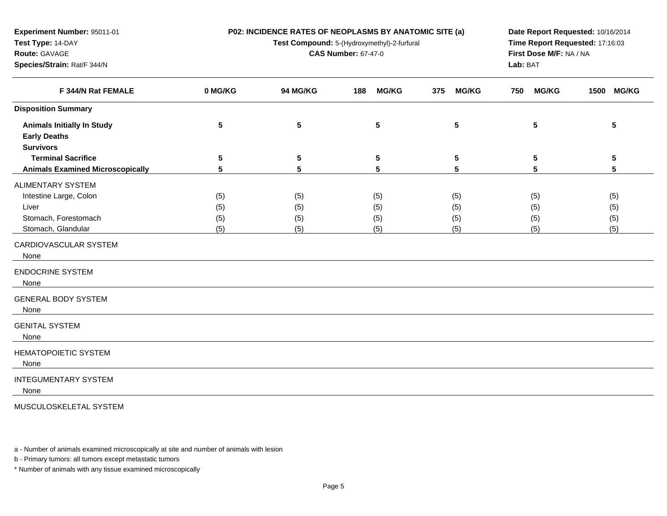| <b>P02: INCIDENCE RATES OF NEOPLASMS BY ANATOMIC SITE (a)</b> |  |
|---------------------------------------------------------------|--|
|---------------------------------------------------------------|--|

**Test Compound:** 5-(Hydroxymethyl)-2-furfural

**CAS Number:** 67-47-0

**Species/Strain:** Rat/F 344/N

**Test Type:** 14-DAY**Route:** GAVAGE

**Experiment Number:** 95011-01

**Date Report Requested:** 10/16/2014**Time Report Requested:** 17:16:03**First Dose M/F:** NA / NA**Lab:** BAT

| F 344/N Rat FEMALE                      | 0 MG/KG         | 94 MG/KG        | <b>MG/KG</b><br>188 | 375<br><b>MG/KG</b> | <b>MG/KG</b><br>750 | 1500<br><b>MG/KG</b> |
|-----------------------------------------|-----------------|-----------------|---------------------|---------------------|---------------------|----------------------|
| <b>Disposition Summary</b>              |                 |                 |                     |                     |                     |                      |
| <b>Animals Initially In Study</b>       | 5               | $5\phantom{.0}$ | 5                   | 5                   | 5                   | 5                    |
| <b>Early Deaths</b>                     |                 |                 |                     |                     |                     |                      |
| <b>Survivors</b>                        |                 |                 |                     |                     |                     |                      |
| <b>Terminal Sacrifice</b>               | $5\phantom{.0}$ | $5\phantom{.0}$ | $5\phantom{.0}$     | 5                   | 5                   | 5                    |
| <b>Animals Examined Microscopically</b> | 5               | 5               | 5                   | 5                   | 5                   | 5                    |
| <b>ALIMENTARY SYSTEM</b>                |                 |                 |                     |                     |                     |                      |
| Intestine Large, Colon                  | (5)             | (5)             | (5)                 | (5)                 | (5)                 | (5)                  |
| Liver                                   | (5)             | (5)             | (5)                 | (5)                 | (5)                 | (5)                  |
| Stomach, Forestomach                    | (5)             | (5)             | (5)                 | (5)                 | (5)                 | (5)                  |
| Stomach, Glandular                      | (5)             | (5)             | (5)                 | (5)                 | (5)                 | (5)                  |
| CARDIOVASCULAR SYSTEM<br>None           |                 |                 |                     |                     |                     |                      |
|                                         |                 |                 |                     |                     |                     |                      |
| <b>ENDOCRINE SYSTEM</b><br>None         |                 |                 |                     |                     |                     |                      |
| <b>GENERAL BODY SYSTEM</b><br>None      |                 |                 |                     |                     |                     |                      |
| <b>GENITAL SYSTEM</b><br>None           |                 |                 |                     |                     |                     |                      |
| <b>HEMATOPOIETIC SYSTEM</b><br>None     |                 |                 |                     |                     |                     |                      |
| <b>INTEGUMENTARY SYSTEM</b><br>None     |                 |                 |                     |                     |                     |                      |

MUSCULOSKELETAL SYSTEM

a - Number of animals examined microscopically at site and number of animals with lesion

b - Primary tumors: all tumors except metastatic tumors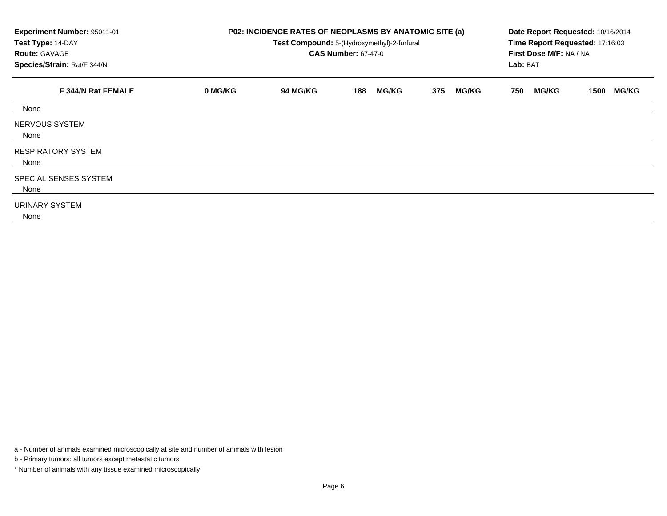| Experiment Number: 95011-01<br>Test Type: 14-DAY<br><b>Route: GAVAGE</b><br>Species/Strain: Rat/F 344/N | P02: INCIDENCE RATES OF NEOPLASMS BY ANATOMIC SITE (a)<br>Test Compound: 5-(Hydroxymethyl)-2-furfural<br><b>CAS Number: 67-47-0</b> |                 |                     |                     |                     | Date Report Requested: 10/16/2014<br>Time Report Requested: 17:16:03<br>First Dose M/F: NA / NA |
|---------------------------------------------------------------------------------------------------------|-------------------------------------------------------------------------------------------------------------------------------------|-----------------|---------------------|---------------------|---------------------|-------------------------------------------------------------------------------------------------|
| F 344/N Rat FEMALE                                                                                      | 0 MG/KG                                                                                                                             | <b>94 MG/KG</b> | <b>MG/KG</b><br>188 | <b>MG/KG</b><br>375 | <b>MG/KG</b><br>750 | <b>MG/KG</b><br>1500                                                                            |
| None                                                                                                    |                                                                                                                                     |                 |                     |                     |                     |                                                                                                 |
| NERVOUS SYSTEM<br>None                                                                                  |                                                                                                                                     |                 |                     |                     |                     |                                                                                                 |
| <b>RESPIRATORY SYSTEM</b><br>None                                                                       |                                                                                                                                     |                 |                     |                     |                     |                                                                                                 |
| SPECIAL SENSES SYSTEM<br>None                                                                           |                                                                                                                                     |                 |                     |                     |                     |                                                                                                 |
| <b>URINARY SYSTEM</b><br>None                                                                           |                                                                                                                                     |                 |                     |                     |                     |                                                                                                 |

a - Number of animals examined microscopically at site and number of animals with lesion

b - Primary tumors: all tumors except metastatic tumors